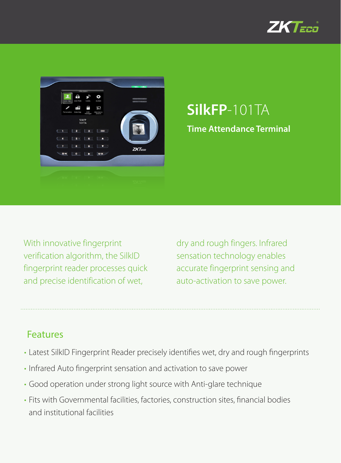



# **SilkFP**-101TA **Time Attendance Terminal**

With innovative fingerprint verification algorithm, the SilkID fingerprint reader processes quick and precise identification of wet,

dry and rough fingers. Infrared sensation technology enables accurate fingerprint sensing and auto-activation to save power.

### Features

- Latest SilkID Fingerprint Reader precisely identifies wet, dry and rough fingerprints
- Infrared Auto fingerprint sensation and activation to save power
- • Good operation under strong light source with Anti-glare technique
- Fits with Governmental facilities, factories, construction sites, financial bodies and institutional facilities